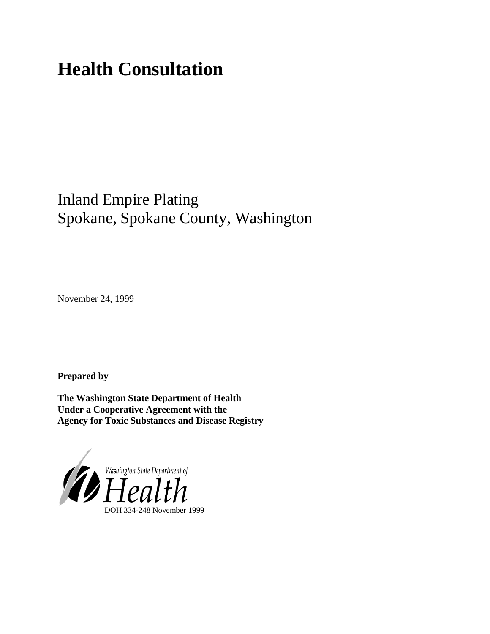# **Health Consultation**

## Inland Empire Plating Spokane, Spokane County, Washington

November 24, 1999

**Prepared by**

**The Washington State Department of Health Under a Cooperative Agreement with the Agency for Toxic Substances and Disease Registry**

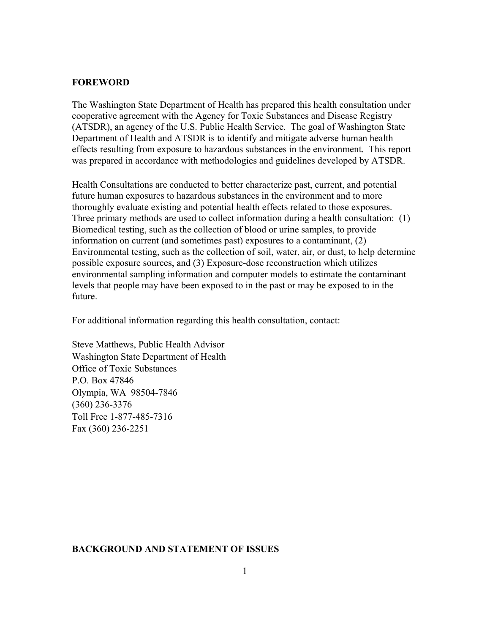#### **FOREWORD**

The Washington State Department of Health has prepared this health consultation under cooperative agreement with the Agency for Toxic Substances and Disease Registry (ATSDR), an agency of the U.S. Public Health Service. The goal of Washington State Department of Health and ATSDR is to identify and mitigate adverse human health effects resulting from exposure to hazardous substances in the environment. This report was prepared in accordance with methodologies and guidelines developed by ATSDR.

Health Consultations are conducted to better characterize past, current, and potential future human exposures to hazardous substances in the environment and to more thoroughly evaluate existing and potential health effects related to those exposures. Three primary methods are used to collect information during a health consultation: (1) Biomedical testing, such as the collection of blood or urine samples, to provide information on current (and sometimes past) exposures to a contaminant, (2) Environmental testing, such as the collection of soil, water, air, or dust, to help determine possible exposure sources, and (3) Exposure-dose reconstruction which utilizes environmental sampling information and computer models to estimate the contaminant levels that people may have been exposed to in the past or may be exposed to in the future.

For additional information regarding this health consultation, contact:

Steve Matthews, Public Health Advisor Washington State Department of Health Office of Toxic Substances P.O. Box 47846 Olympia, WA 98504-7846 (360) 236-3376 Toll Free 1-877-485-7316 Fax (360) 236-2251

#### **BACKGROUND AND STATEMENT OF ISSUES**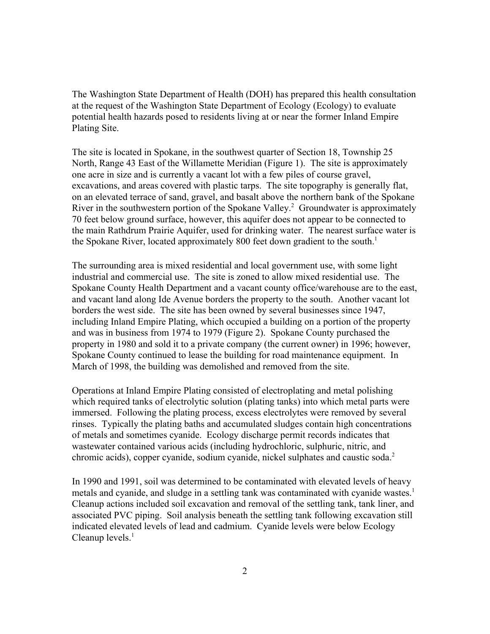The Washington State Department of Health (DOH) has prepared this health consultation at the request of the Washington State Department of Ecology (Ecology) to evaluate potential health hazards posed to residents living at or near the former Inland Empire Plating Site.

The site is located in Spokane, in the southwest quarter of Section 18, Township 25 North, Range 43 East of the Willamette Meridian (Figure 1). The site is approximately one acre in size and is currently a vacant lot with a few piles of course gravel, excavations, and areas covered with plastic tarps. The site topography is generally flat, on an elevated terrace of sand, gravel, and basalt above the northern bank of the Spokane River in the southwestern portion of the Spokane Valley.<sup>2</sup> Groundwater is approximately 70 feet below ground surface, however, this aquifer does not appear to be connected to the main Rathdrum Prairie Aquifer, used for drinking water. The nearest surface water is the Spokane River, located approximately 800 feet down gradient to the south.<sup>1</sup>

The surrounding area is mixed residential and local government use, with some light industrial and commercial use. The site is zoned to allow mixed residential use. The Spokane County Health Department and a vacant county office/warehouse are to the east, and vacant land along Ide Avenue borders the property to the south. Another vacant lot borders the west side. The site has been owned by several businesses since 1947, including Inland Empire Plating, which occupied a building on a portion of the property and was in business from 1974 to 1979 (Figure 2). Spokane County purchased the property in 1980 and sold it to a private company (the current owner) in 1996; however, Spokane County continued to lease the building for road maintenance equipment. In March of 1998, the building was demolished and removed from the site.

Operations at Inland Empire Plating consisted of electroplating and metal polishing which required tanks of electrolytic solution (plating tanks) into which metal parts were immersed. Following the plating process, excess electrolytes were removed by several rinses. Typically the plating baths and accumulated sludges contain high concentrations of metals and sometimes cyanide. Ecology discharge permit records indicates that wastewater contained various acids (including hydrochloric, sulphuric, nitric, and chromic acids), copper cyanide, sodium cyanide, nickel sulphates and caustic soda.<sup>2</sup>

In 1990 and 1991, soil was determined to be contaminated with elevated levels of heavy metals and cyanide, and sludge in a settling tank was contaminated with cyanide wastes.<sup>1</sup> Cleanup actions included soil excavation and removal of the settling tank, tank liner, and associated PVC piping. Soil analysis beneath the settling tank following excavation still indicated elevated levels of lead and cadmium. Cyanide levels were below Ecology Cleanup levels. $<sup>1</sup>$ </sup>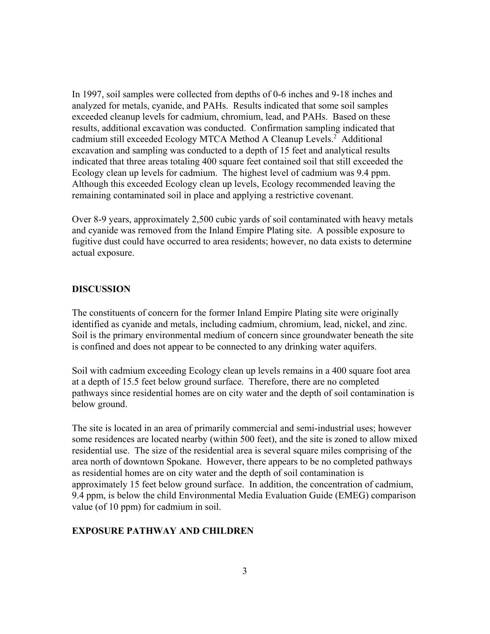In 1997, soil samples were collected from depths of 0-6 inches and 9-18 inches and analyzed for metals, cyanide, and PAHs. Results indicated that some soil samples exceeded cleanup levels for cadmium, chromium, lead, and PAHs. Based on these results, additional excavation was conducted. Confirmation sampling indicated that cadmium still exceeded Ecology MTCA Method A Cleanup Levels.<sup>2</sup> Additional excavation and sampling was conducted to a depth of 15 feet and analytical results indicated that three areas totaling 400 square feet contained soil that still exceeded the Ecology clean up levels for cadmium. The highest level of cadmium was 9.4 ppm. Although this exceeded Ecology clean up levels, Ecology recommended leaving the remaining contaminated soil in place and applying a restrictive covenant.

Over 8-9 years, approximately 2,500 cubic yards of soil contaminated with heavy metals and cyanide was removed from the Inland Empire Plating site. A possible exposure to fugitive dust could have occurred to area residents; however, no data exists to determine actual exposure.

#### **DISCUSSION**

The constituents of concern for the former Inland Empire Plating site were originally identified as cyanide and metals, including cadmium, chromium, lead, nickel, and zinc. Soil is the primary environmental medium of concern since groundwater beneath the site is confined and does not appear to be connected to any drinking water aquifers.

Soil with cadmium exceeding Ecology clean up levels remains in a 400 square foot area at a depth of 15.5 feet below ground surface. Therefore, there are no completed pathways since residential homes are on city water and the depth of soil contamination is below ground.

The site is located in an area of primarily commercial and semi-industrial uses; however some residences are located nearby (within 500 feet), and the site is zoned to allow mixed residential use. The size of the residential area is several square miles comprising of the area north of downtown Spokane. However, there appears to be no completed pathways as residential homes are on city water and the depth of soil contamination is approximately 15 feet below ground surface. In addition, the concentration of cadmium, 9.4 ppm, is below the child Environmental Media Evaluation Guide (EMEG) comparison value (of 10 ppm) for cadmium in soil.

#### **EXPOSURE PATHWAY AND CHILDREN**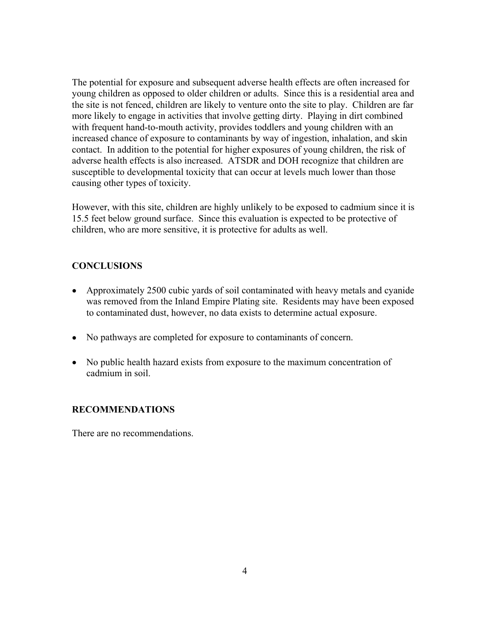The potential for exposure and subsequent adverse health effects are often increased for young children as opposed to older children or adults. Since this is a residential area and the site is not fenced, children are likely to venture onto the site to play. Children are far more likely to engage in activities that involve getting dirty. Playing in dirt combined with frequent hand-to-mouth activity, provides toddlers and young children with an increased chance of exposure to contaminants by way of ingestion, inhalation, and skin contact. In addition to the potential for higher exposures of young children, the risk of adverse health effects is also increased. ATSDR and DOH recognize that children are susceptible to developmental toxicity that can occur at levels much lower than those causing other types of toxicity.

However, with this site, children are highly unlikely to be exposed to cadmium since it is 15.5 feet below ground surface. Since this evaluation is expected to be protective of children, who are more sensitive, it is protective for adults as well.

### **CONCLUSIONS**

- Approximately 2500 cubic yards of soil contaminated with heavy metals and cyanide was removed from the Inland Empire Plating site. Residents may have been exposed to contaminated dust, however, no data exists to determine actual exposure.
- No pathways are completed for exposure to contaminants of concern.
- No public health hazard exists from exposure to the maximum concentration of cadmium in soil.

### **RECOMMENDATIONS**

There are no recommendations.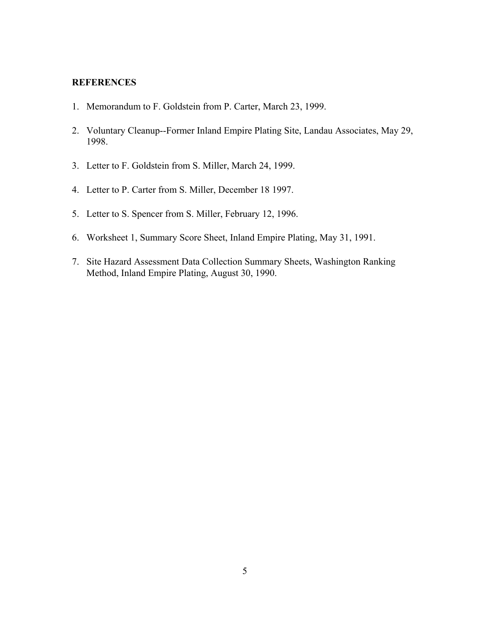#### **REFERENCES**

- 1. Memorandum to F. Goldstein from P. Carter, March 23, 1999.
- 2. Voluntary Cleanup--Former Inland Empire Plating Site, Landau Associates, May 29, 1998.
- 3. Letter to F. Goldstein from S. Miller, March 24, 1999.
- 4. Letter to P. Carter from S. Miller, December 18 1997.
- 5. Letter to S. Spencer from S. Miller, February 12, 1996.
- 6. Worksheet 1, Summary Score Sheet, Inland Empire Plating, May 31, 1991.
- 7. Site Hazard Assessment Data Collection Summary Sheets, Washington Ranking Method, Inland Empire Plating, August 30, 1990.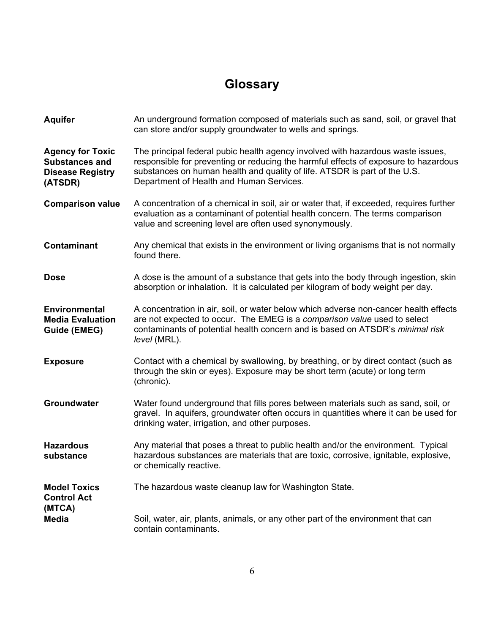# **Glossary**

| <b>Aquifer</b>                                                                         | An underground formation composed of materials such as sand, soil, or gravel that<br>can store and/or supply groundwater to wells and springs.                                                                                                                                                  |
|----------------------------------------------------------------------------------------|-------------------------------------------------------------------------------------------------------------------------------------------------------------------------------------------------------------------------------------------------------------------------------------------------|
| <b>Agency for Toxic</b><br><b>Substances and</b><br><b>Disease Registry</b><br>(ATSDR) | The principal federal pubic health agency involved with hazardous waste issues,<br>responsible for preventing or reducing the harmful effects of exposure to hazardous<br>substances on human health and quality of life. ATSDR is part of the U.S.<br>Department of Health and Human Services. |
| <b>Comparison value</b>                                                                | A concentration of a chemical in soil, air or water that, if exceeded, requires further<br>evaluation as a contaminant of potential health concern. The terms comparison<br>value and screening level are often used synonymously.                                                              |
| <b>Contaminant</b>                                                                     | Any chemical that exists in the environment or living organisms that is not normally<br>found there.                                                                                                                                                                                            |
| <b>Dose</b>                                                                            | A dose is the amount of a substance that gets into the body through ingestion, skin<br>absorption or inhalation. It is calculated per kilogram of body weight per day.                                                                                                                          |
| <b>Environmental</b><br><b>Media Evaluation</b><br><b>Guide (EMEG)</b>                 | A concentration in air, soil, or water below which adverse non-cancer health effects<br>are not expected to occur. The EMEG is a comparison value used to select<br>contaminants of potential health concern and is based on ATSDR's minimal risk<br>level (MRL).                               |
| <b>Exposure</b>                                                                        | Contact with a chemical by swallowing, by breathing, or by direct contact (such as<br>through the skin or eyes). Exposure may be short term (acute) or long term<br>(chronic).                                                                                                                  |
| Groundwater                                                                            | Water found underground that fills pores between materials such as sand, soil, or<br>gravel. In aquifers, groundwater often occurs in quantities where it can be used for<br>drinking water, irrigation, and other purposes.                                                                    |
| <b>Hazardous</b><br>substance                                                          | Any material that poses a threat to public health and/or the environment. Typical<br>hazardous substances are materials that are toxic, corrosive, ignitable, explosive,<br>or chemically reactive.                                                                                             |
| <b>Model Toxics</b><br><b>Control Act</b><br>(MTCA)                                    | The hazardous waste cleanup law for Washington State.                                                                                                                                                                                                                                           |
| <b>Media</b>                                                                           | Soil, water, air, plants, animals, or any other part of the environment that can<br>contain contaminants.                                                                                                                                                                                       |